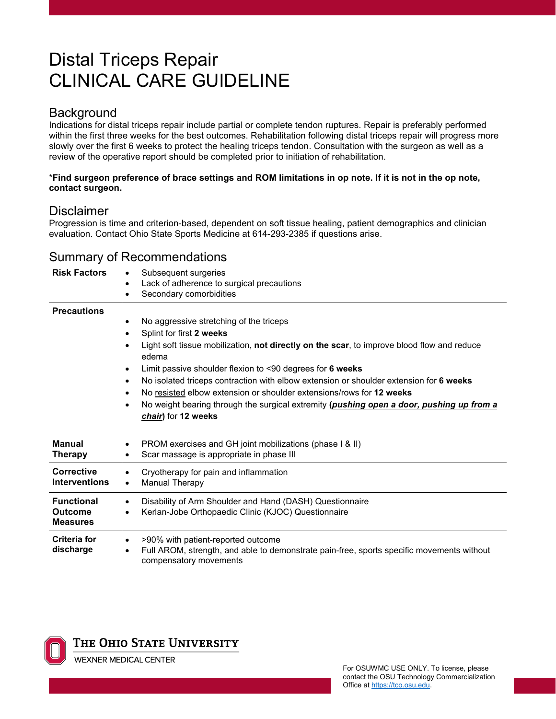# Distal Triceps Repair CLINICAL CARE GUIDELINE

### **Background**

Indications for distal triceps repair include partial or complete tendon ruptures. Repair is preferably performed within the first three weeks for the best outcomes. Rehabilitation following distal triceps repair will progress more slowly over the first 6 weeks to protect the healing triceps tendon. Consultation with the surgeon as well as a review of the operative report should be completed prior to initiation of rehabilitation.

#### \***Find surgeon preference of brace settings and ROM limitations in op note. If it is not in the op note, contact surgeon.**

#### **Disclaimer**

Progression is time and criterion-based, dependent on soft tissue healing, patient demographics and clinician evaluation. Contact Ohio State Sports Medicine at 614-293-2385 if questions arise.

| <b>Risk Factors</b>                                    | Subsequent surgeries<br>$\bullet$<br>Lack of adherence to surgical precautions<br>$\bullet$<br>Secondary comorbidities<br>$\bullet$                                                                                                                                                                                                                                                                                                                                                                                                                                                |
|--------------------------------------------------------|------------------------------------------------------------------------------------------------------------------------------------------------------------------------------------------------------------------------------------------------------------------------------------------------------------------------------------------------------------------------------------------------------------------------------------------------------------------------------------------------------------------------------------------------------------------------------------|
| <b>Precautions</b>                                     | No aggressive stretching of the triceps<br>٠<br>Splint for first 2 weeks<br>٠<br>Light soft tissue mobilization, not directly on the scar, to improve blood flow and reduce<br>$\bullet$<br>edema<br>Limit passive shoulder flexion to <90 degrees for 6 weeks<br>$\bullet$<br>No isolated triceps contraction with elbow extension or shoulder extension for 6 weeks<br>٠<br>No resisted elbow extension or shoulder extensions/rows for 12 weeks<br>$\bullet$<br>No weight bearing through the surgical extremity (pushing open a door, pushing up from a<br>chair) for 12 weeks |
| <b>Manual</b><br><b>Therapy</b>                        | PROM exercises and GH joint mobilizations (phase I & II)<br>$\bullet$<br>Scar massage is appropriate in phase III<br>$\bullet$                                                                                                                                                                                                                                                                                                                                                                                                                                                     |
| <b>Corrective</b><br><b>Interventions</b>              | Cryotherapy for pain and inflammation<br>$\bullet$<br>Manual Therapy<br>$\bullet$                                                                                                                                                                                                                                                                                                                                                                                                                                                                                                  |
| <b>Functional</b><br><b>Outcome</b><br><b>Measures</b> | Disability of Arm Shoulder and Hand (DASH) Questionnaire<br>$\bullet$<br>Kerlan-Jobe Orthopaedic Clinic (KJOC) Questionnaire<br>$\bullet$                                                                                                                                                                                                                                                                                                                                                                                                                                          |
| Criteria for<br>discharge                              | >90% with patient-reported outcome<br>$\bullet$<br>Full AROM, strength, and able to demonstrate pain-free, sports specific movements without<br>$\bullet$<br>compensatory movements                                                                                                                                                                                                                                                                                                                                                                                                |

## Summary of Recommendations



#### THE OHIO STATE UNIVERSITY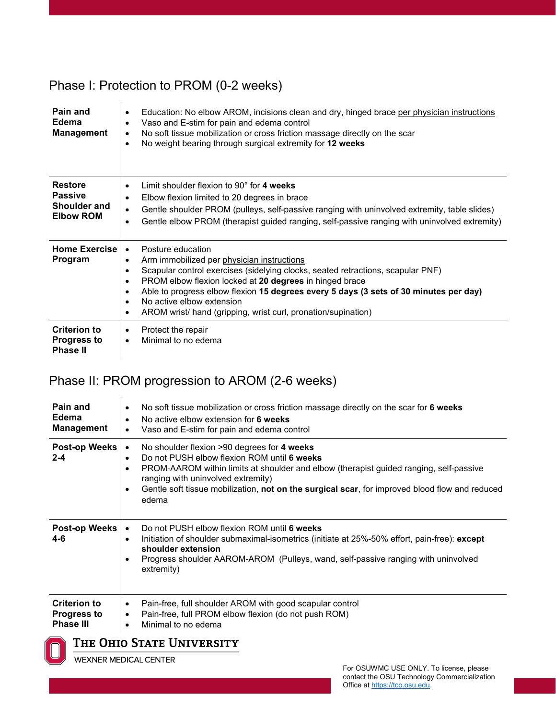## Phase I: Protection to PROM (0-2 weeks)

| Pain and<br>Edema<br><b>Management</b>                               | Education: No elbow AROM, incisions clean and dry, hinged brace per physician instructions<br>$\bullet$<br>Vaso and E-stim for pain and edema control<br>٠<br>No soft tissue mobilization or cross friction massage directly on the scar<br>$\bullet$<br>No weight bearing through surgical extremity for 12 weeks                                                                                                          |
|----------------------------------------------------------------------|-----------------------------------------------------------------------------------------------------------------------------------------------------------------------------------------------------------------------------------------------------------------------------------------------------------------------------------------------------------------------------------------------------------------------------|
| <b>Restore</b><br><b>Passive</b><br>Shoulder and<br><b>Elbow ROM</b> | Limit shoulder flexion to $90^\circ$ for 4 weeks<br>$\bullet$<br>Elbow flexion limited to 20 degrees in brace<br>Gentle shoulder PROM (pulleys, self-passive ranging with uninvolved extremity, table slides)<br>٠<br>Gentle elbow PROM (therapist guided ranging, self-passive ranging with uninvolved extremity)<br>٠                                                                                                     |
| <b>Home Exercise</b><br>Program                                      | Posture education<br>$\bullet$<br>Arm immobilized per physician instructions<br>Scapular control exercises (sidelying clocks, seated retractions, scapular PNF)<br>PROM elbow flexion locked at 20 degrees in hinged brace<br>Able to progress elbow flexion 15 degrees every 5 days (3 sets of 30 minutes per day)<br>٠<br>No active elbow extension<br>٠<br>AROM wrist/ hand (gripping, wrist curl, pronation/supination) |
| <b>Criterion to</b><br><b>Progress to</b><br><b>Phase II</b>         | Protect the repair<br>٠<br>Minimal to no edema<br>$\bullet$                                                                                                                                                                                                                                                                                                                                                                 |

## Phase II: PROM progression to AROM (2-6 weeks)

| Pain and<br>Edema<br><b>Management</b>                        | No soft tissue mobilization or cross friction massage directly on the scar for 6 weeks<br>$\bullet$<br>No active elbow extension for 6 weeks<br>٠<br>Vaso and E-stim for pain and edema control<br>$\bullet$                                                                                                                                                         |
|---------------------------------------------------------------|----------------------------------------------------------------------------------------------------------------------------------------------------------------------------------------------------------------------------------------------------------------------------------------------------------------------------------------------------------------------|
| <b>Post-op Weeks</b><br>$2 - 4$                               | No shoulder flexion >90 degrees for 4 weeks<br>$\bullet$<br>Do not PUSH elbow flexion ROM until 6 weeks<br>٠<br>PROM-AAROM within limits at shoulder and elbow (therapist guided ranging, self-passive<br>ranging with uninvolved extremity)<br>Gentle soft tissue mobilization, not on the surgical scar, for improved blood flow and reduced<br>$\bullet$<br>edema |
| Post-op Weeks<br>$4-6$                                        | Do not PUSH elbow flexion ROM until 6 weeks<br>Initiation of shoulder submaximal-isometrics (initiate at 25%-50% effort, pain-free): except<br>$\bullet$<br>shoulder extension<br>Progress shoulder AAROM-AROM (Pulleys, wand, self-passive ranging with uninvolved<br>٠<br>extremity)                                                                               |
| <b>Criterion to</b><br><b>Progress to</b><br><b>Phase III</b> | Pain-free, full shoulder AROM with good scapular control<br>$\bullet$<br>Pain-free, full PROM elbow flexion (do not push ROM)<br>٠<br>Minimal to no edema<br>$\bullet$                                                                                                                                                                                               |

### THE OHIO STATE UNIVERSITY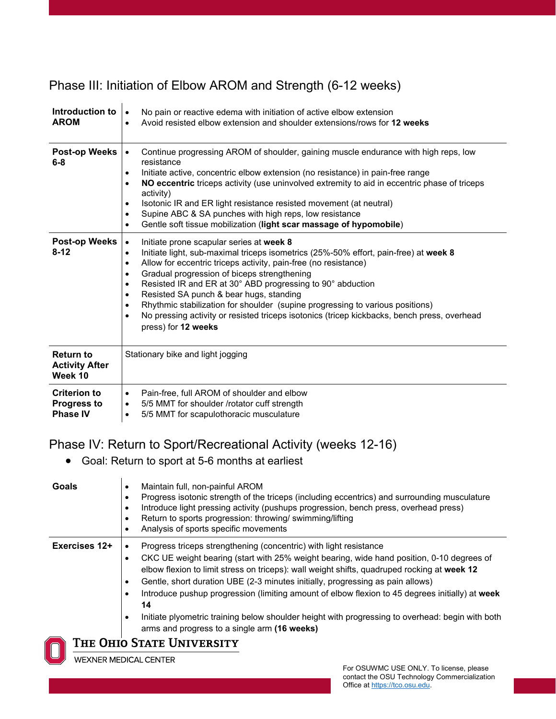# Phase III: Initiation of Elbow AROM and Strength (6-12 weeks)

| Introduction to<br><b>AROM</b>                               | No pain or reactive edema with initiation of active elbow extension<br>$\bullet$<br>Avoid resisted elbow extension and shoulder extensions/rows for 12 weeks<br>$\bullet$                                                                                                                                                                                                                                                                                                                                                                                                                                                                                                  |
|--------------------------------------------------------------|----------------------------------------------------------------------------------------------------------------------------------------------------------------------------------------------------------------------------------------------------------------------------------------------------------------------------------------------------------------------------------------------------------------------------------------------------------------------------------------------------------------------------------------------------------------------------------------------------------------------------------------------------------------------------|
| <b>Post-op Weeks</b><br>$6 - 8$                              | Continue progressing AROM of shoulder, gaining muscle endurance with high reps, low<br>$\bullet$<br>resistance<br>Initiate active, concentric elbow extension (no resistance) in pain-free range<br>$\bullet$<br>NO eccentric triceps activity (use uninvolved extremity to aid in eccentric phase of triceps<br>$\bullet$<br>activity)<br>Isotonic IR and ER light resistance resisted movement (at neutral)<br>$\bullet$<br>Supine ABC & SA punches with high reps, low resistance<br>$\bullet$<br>Gentle soft tissue mobilization (light scar massage of hypomobile)<br>$\bullet$                                                                                       |
| <b>Post-op Weeks</b><br>$8 - 12$                             | Initiate prone scapular series at week 8<br>$\bullet$<br>Initiate light, sub-maximal triceps isometrics (25%-50% effort, pain-free) at week 8<br>$\bullet$<br>Allow for eccentric triceps activity, pain-free (no resistance)<br>$\bullet$<br>Gradual progression of biceps strengthening<br>$\bullet$<br>Resisted IR and ER at 30° ABD progressing to 90° abduction<br>$\bullet$<br>Resisted SA punch & bear hugs, standing<br>$\bullet$<br>Rhythmic stabilization for shoulder (supine progressing to various positions)<br>$\bullet$<br>No pressing activity or resisted triceps isotonics (tricep kickbacks, bench press, overhead<br>$\bullet$<br>press) for 12 weeks |
| <b>Return to</b><br><b>Activity After</b><br>Week 10         | Stationary bike and light jogging                                                                                                                                                                                                                                                                                                                                                                                                                                                                                                                                                                                                                                          |
| <b>Criterion to</b><br><b>Progress to</b><br><b>Phase IV</b> | Pain-free, full AROM of shoulder and elbow<br>$\bullet$<br>5/5 MMT for shoulder /rotator cuff strength<br>$\bullet$<br>5/5 MMT for scapulothoracic musculature<br>$\bullet$                                                                                                                                                                                                                                                                                                                                                                                                                                                                                                |

### Phase IV: Return to Sport/Recreational Activity (weeks 12-16)

• Goal: Return to sport at 5-6 months at earliest

| <b>Goals</b>  | Maintain full, non-painful AROM<br>Progress isotonic strength of the triceps (including eccentrics) and surrounding musculature<br>Introduce light pressing activity (pushups progression, bench press, overhead press)<br>Return to sports progression: throwing/ swimming/lifting<br>Analysis of sports specific movements                                                                                                                                                                                                                                                                                              |
|---------------|---------------------------------------------------------------------------------------------------------------------------------------------------------------------------------------------------------------------------------------------------------------------------------------------------------------------------------------------------------------------------------------------------------------------------------------------------------------------------------------------------------------------------------------------------------------------------------------------------------------------------|
| Exercises 12+ | Progress triceps strengthening (concentric) with light resistance<br>CKC UE weight bearing (start with 25% weight bearing, wide hand position, 0-10 degrees of<br>elbow flexion to limit stress on triceps): wall weight shifts, quadruped rocking at week 12<br>Gentle, short duration UBE (2-3 minutes initially, progressing as pain allows)<br>Introduce pushup progression (limiting amount of elbow flexion to 45 degrees initially) at week<br>14<br>Initiate plyometric training below shoulder height with progressing to overhead: begin with both<br>$\bullet$<br>arms and progress to a single arm (16 weeks) |
|               | Tue Ouio Ctate Haiivedcity                                                                                                                                                                                                                                                                                                                                                                                                                                                                                                                                                                                                |

#### THE OHIO STATE UNIVERSITY